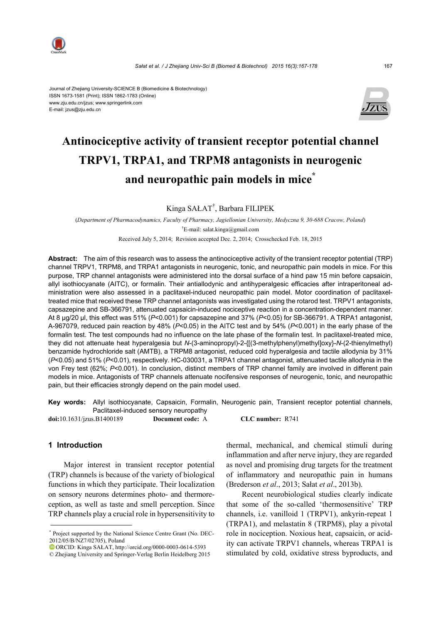

#### Journal of Zhejiang University-SCIENCE B (Biomedicine & Biotechnology) ISSN 1673-1581 (Print); ISSN 1862-1783 (Online) www.zju.edu.cn/jzus; www.springerlink.com E-mail: jzus@zju.edu.cn



# **Antinociceptive activity of transient receptor potential channel TRPV1, TRPA1, and TRPM8 antagonists in neurogenic and neuropathic pain models in mice\***

Kinga SAŁAT† , Barbara FILIPEK

(*Department of Pharmacodynamics, Faculty of Pharmacy, Jagiellonian University, Medyczna 9, 30-688 Cracow, Poland*) † E-mail: salat.kinga@gmail.com

Received July 5, 2014; Revision accepted Dec. 2, 2014; Crosschecked Feb. 18, 2015

**Abstract:** The aim of this research was to assess the antinociceptive activity of the transient receptor potential (TRP) channel TRPV1, TRPM8, and TRPA1 antagonists in neurogenic, tonic, and neuropathic pain models in mice. For this purpose, TRP channel antagonists were administered into the dorsal surface of a hind paw 15 min before capsaicin, allyl isothiocyanate (AITC), or formalin. Their antiallodynic and antihyperalgesic efficacies after intraperitoneal administration were also assessed in a paclitaxel-induced neuropathic pain model. Motor coordination of paclitaxeltreated mice that received these TRP channel antagonists was investigated using the rotarod test. TRPV1 antagonists, capsazepine and SB-366791, attenuated capsaicin-induced nociceptive reaction in a concentration-dependent manner. At 8 µg/20 µl, this effect was 51% (*P*<0.001) for capsazepine and 37% (*P*<0.05) for SB-366791. A TRPA1 antagonist, A-967079, reduced pain reaction by 48% (*P*<0.05) in the AITC test and by 54% (*P*<0.001) in the early phase of the formalin test. The test compounds had no influence on the late phase of the formalin test. In paclitaxel-treated mice, they did not attenuate heat hyperalgesia but *N*-(3-aminopropyl)-2-{[(3-methylphenyl)methyl]oxy}-*N*-(2-thienylmethyl) benzamide hydrochloride salt (AMTB), a TRPM8 antagonist, reduced cold hyperalgesia and tactile allodynia by 31% (*P*<0.05) and 51% (*P*<0.01), respectively. HC-030031, a TRPA1 channel antagonist, attenuated tactile allodynia in the von Frey test (62%; *P*<0.001). In conclusion, distinct members of TRP channel family are involved in different pain models in mice. Antagonists of TRP channels attenuate nocifensive responses of neurogenic, tonic, and neuropathic pain, but their efficacies strongly depend on the pain model used.

**Key words:** Allyl isothiocyanate, Capsaicin, Formalin, Neurogenic pain, Transient receptor potential channels, Paclitaxel-induced sensory neuropathy

**doi:**10.1631/jzus.B1400189 **Document code:** A **CLC number:** R741

# **1 Introduction**

Major interest in transient receptor potential (TRP) channels is because of the variety of biological functions in which they participate. Their localization on sensory neurons determines photo- and thermoreception, as well as taste and smell perception. Since TRP channels play a crucial role in hypersensitivity to thermal, mechanical, and chemical stimuli during inflammation and after nerve injury, they are regarded as novel and promising drug targets for the treatment of inflammatory and neuropathic pain in humans (Brederson *et al*., 2013; Sałat *et al*., 2013b).

Recent neurobiological studies clearly indicate that some of the so-called 'thermosensitive' TRP channels, i.e. vanilloid 1 (TRPV1), ankyrin-repeat 1 (TRPA1), and melastatin 8 (TRPM8), play a pivotal role in nociception. Noxious heat, capsaicin, or acidity can activate TRPV1 channels, whereas TRPA1 is stimulated by cold, oxidative stress byproducts, and

<sup>\*</sup> Project supported by the National Science Centre Grant (No. DEC-2012/05/B/NZ7/02705), Poland

ORCID: Kinga SAŁAT, http://orcid.org/0000-0003-0614-5393 © Zhejiang University and Springer-Verlag Berlin Heidelberg 2015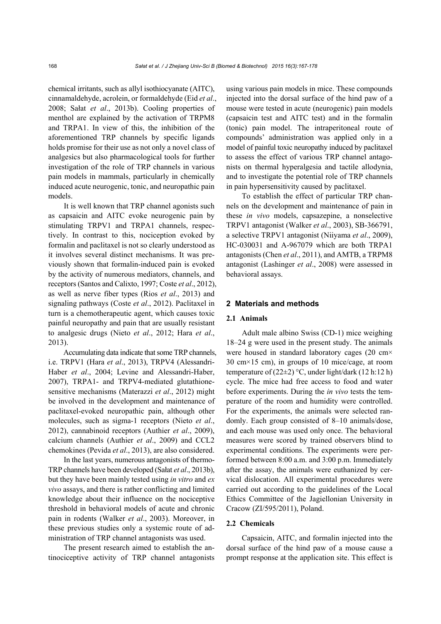chemical irritants, such as allyl isothiocyanate (AITC), cinnamaldehyde, acrolein, or formaldehyde (Eid *et al*., 2008; Sałat *et al*., 2013b). Cooling properties of menthol are explained by the activation of TRPM8 and TRPA1. In view of this, the inhibition of the aforementioned TRP channels by specific ligands holds promise for their use as not only a novel class of analgesics but also pharmacological tools for further investigation of the role of TRP channels in various pain models in mammals, particularly in chemically induced acute neurogenic, tonic, and neuropathic pain models.

It is well known that TRP channel agonists such as capsaicin and AITC evoke neurogenic pain by stimulating TRPV1 and TRPA1 channels, respectively. In contrast to this, nociception evoked by formalin and paclitaxel is not so clearly understood as it involves several distinct mechanisms. It was previously shown that formalin-induced pain is evoked by the activity of numerous mediators, channels, and receptors (Santos and Calixto, 1997; Coste *et al*., 2012), as well as nerve fiber types (Rios *et al*., 2013) and signaling pathways (Coste *et al*., 2012). Paclitaxel in turn is a chemotherapeutic agent, which causes toxic painful neuropathy and pain that are usually resistant to analgesic drugs (Nieto *et al*., 2012; Hara *et al*., 2013).

Accumulating data indicate that some TRP channels, i.e. TRPV1 (Hara *et al*., 2013), TRPV4 (Alessandri-Haber *et al*., 2004; Levine and Alessandri-Haber, 2007), TRPA1- and TRPV4-mediated glutathionesensitive mechanisms (Materazzi *et al*., 2012) might be involved in the development and maintenance of paclitaxel-evoked neuropathic pain, although other molecules, such as sigma-1 receptors (Nieto *et al*., 2012), cannabinoid receptors (Authier *et al*., 2009), calcium channels (Authier *et al*., 2009) and CCL2 chemokines (Pevida *et al*., 2013), are also considered.

In the last years, numerous antagonists of thermo-TRP channels have been developed (Sałat *et al*., 2013b), but they have been mainly tested using *in vitro* and *ex vivo* assays, and there is rather conflicting and limited knowledge about their influence on the nociceptive threshold in behavioral models of acute and chronic pain in rodents (Walker *et al*., 2003). Moreover, in these previous studies only a systemic route of administration of TRP channel antagonists was used.

The present research aimed to establish the antinociceptive activity of TRP channel antagonists using various pain models in mice. These compounds injected into the dorsal surface of the hind paw of a mouse were tested in acute (neurogenic) pain models (capsaicin test and AITC test) and in the formalin (tonic) pain model. The intraperitoneal route of compounds' administration was applied only in a model of painful toxic neuropathy induced by paclitaxel to assess the effect of various TRP channel antagonists on thermal hyperalgesia and tactile allodynia, and to investigate the potential role of TRP channels in pain hypersensitivity caused by paclitaxel.

To establish the effect of particular TRP channels on the development and maintenance of pain in these *in vivo* models, capsazepine, a nonselective TRPV1 antagonist (Walker *et al*., 2003), SB-366791, a selective TRPV1 antagonist (Niiyama *et al*., 2009), HC-030031 and A-967079 which are both TRPA1 antagonists (Chen *et al*., 2011), and AMTB, a TRPM8 antagonist (Lashinger *et al*., 2008) were assessed in behavioral assays.

# **2 Materials and methods**

#### **2.1 Animals**

Adult male albino Swiss (CD-1) mice weighing 18–24 g were used in the present study. The animals were housed in standard laboratory cages (20 cm× 30 cm×15 cm), in groups of 10 mice/cage, at room temperature of  $(22\pm 2)$  °C, under light/dark (12 h:12 h) cycle. The mice had free access to food and water before experiments. During the *in vivo* tests the temperature of the room and humidity were controlled. For the experiments, the animals were selected randomly. Each group consisted of 8–10 animals/dose, and each mouse was used only once. The behavioral measures were scored by trained observers blind to experimental conditions. The experiments were performed between 8:00 a.m. and 3:00 p.m. Immediately after the assay, the animals were euthanized by cervical dislocation. All experimental procedures were carried out according to the guidelines of the Local Ethics Committee of the Jagiellonian University in Cracow (ZI/595/2011), Poland.

#### **2.2 Chemicals**

Capsaicin, AITC, and formalin injected into the dorsal surface of the hind paw of a mouse cause a prompt response at the application site. This effect is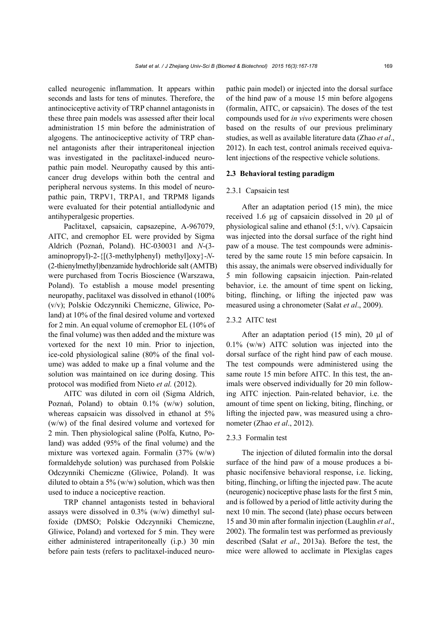called neurogenic inflammation. It appears within seconds and lasts for tens of minutes. Therefore, the antinociceptive activity of TRP channel antagonists in these three pain models was assessed after their local administration 15 min before the administration of algogens. The antinociceptive activity of TRP channel antagonists after their intraperitoneal injection was investigated in the paclitaxel-induced neuropathic pain model. Neuropathy caused by this anticancer drug develops within both the central and peripheral nervous systems. In this model of neuropathic pain, TRPV1, TRPA1, and TRPM8 ligands were evaluated for their potential antiallodynic and antihyperalgesic properties.

Paclitaxel, capsaicin, capsazepine, A-967079, AITC, and cremophor EL were provided by Sigma Aldrich (Poznań, Poland). HC-030031 and *N*-(3 aminopropyl)-2-{[(3-methylphenyl) methyl]oxy}-*N*- (2-thienylmethyl)benzamide hydrochloride salt (AMTB) were purchased from Tocris Bioscience (Warszawa, Poland). To establish a mouse model presenting neuropathy, paclitaxel was dissolved in ethanol (100% (v/v); Polskie Odczynniki Chemiczne, Gliwice, Poland) at 10% of the final desired volume and vortexed for 2 min. An equal volume of cremophor EL (10% of the final volume) was then added and the mixture was vortexed for the next 10 min. Prior to injection, ice-cold physiological saline (80% of the final volume) was added to make up a final volume and the solution was maintained on ice during dosing. This protocol was modified from Nieto *et al.* (2012).

AITC was diluted in corn oil (Sigma Aldrich, Poznań, Poland) to obtain 0.1% (w/w) solution, whereas capsaicin was dissolved in ethanol at 5% (w/w) of the final desired volume and vortexed for 2 min. Then physiological saline (Polfa, Kutno, Poland) was added (95% of the final volume) and the mixture was vortexed again. Formalin (37% (w/w) formaldehyde solution) was purchased from Polskie Odczynniki Chemiczne (Gliwice, Poland). It was diluted to obtain a 5% (w/w) solution, which was then used to induce a nociceptive reaction.

TRP channel antagonists tested in behavioral assays were dissolved in 0.3% (w/w) dimethyl sulfoxide (DMSO; Polskie Odczynniki Chemiczne, Gliwice, Poland) and vortexed for 5 min. They were either administered intraperitoneally (i.p.) 30 min before pain tests (refers to paclitaxel-induced neuropathic pain model) or injected into the dorsal surface of the hind paw of a mouse 15 min before algogens (formalin, AITC, or capsaicin). The doses of the test compounds used for *in vivo* experiments were chosen based on the results of our previous preliminary studies, as well as available literature data (Zhao *et al*., 2012). In each test, control animals received equivalent injections of the respective vehicle solutions.

#### **2.3 Behavioral testing paradigm**

#### 2.3.1 Capsaicin test

After an adaptation period (15 min), the mice received 1.6 μg of capsaicin dissolved in 20 μl of physiological saline and ethanol (5:1, v/v). Capsaicin was injected into the dorsal surface of the right hind paw of a mouse. The test compounds were administered by the same route 15 min before capsaicin. In this assay, the animals were observed individually for 5 min following capsaicin injection. Pain-related behavior, i.e. the amount of time spent on licking, biting, flinching, or lifting the injected paw was measured using a chronometer (Sałat *et al*., 2009).

# 2.3.2 AITC test

After an adaptation period (15 min), 20 μl of 0.1% (w/w) AITC solution was injected into the dorsal surface of the right hind paw of each mouse. The test compounds were administered using the same route 15 min before AITC. In this test, the animals were observed individually for 20 min following AITC injection. Pain-related behavior, i.e. the amount of time spent on licking, biting, flinching, or lifting the injected paw, was measured using a chronometer (Zhao *et al*., 2012).

### 2.3.3 Formalin test

The injection of diluted formalin into the dorsal surface of the hind paw of a mouse produces a biphasic nocifensive behavioral response, i.e. licking, biting, flinching, or lifting the injected paw. The acute (neurogenic) nociceptive phase lasts for the first 5 min, and is followed by a period of little activity during the next 10 min. The second (late) phase occurs between 15 and 30 min after formalin injection (Laughlin *et al*., 2002). The formalin test was performed as previously described (Sałat *et al*., 2013a). Before the test, the mice were allowed to acclimate in Plexiglas cages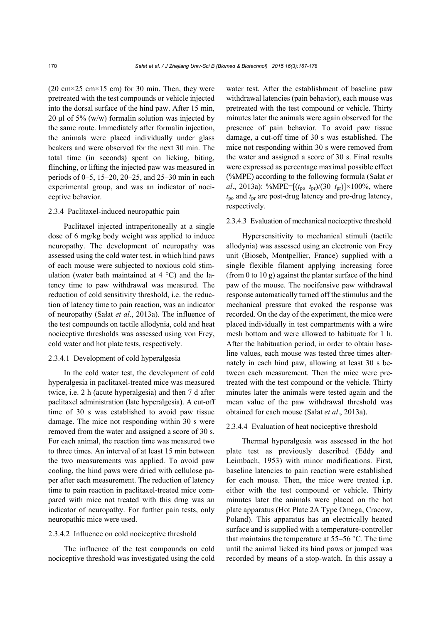$(20 \text{ cm} \times 25 \text{ cm} \times 15 \text{ cm})$  for 30 min. Then, they were pretreated with the test compounds or vehicle injected into the dorsal surface of the hind paw. After 15 min, 20 μl of 5% (w/w) formalin solution was injected by the same route. Immediately after formalin injection, the animals were placed individually under glass beakers and were observed for the next 30 min. The total time (in seconds) spent on licking, biting, flinching, or lifting the injected paw was measured in periods of 0–5, 15–20, 20–25, and 25–30 min in each experimental group, and was an indicator of nociceptive behavior.

#### 2.3.4 Paclitaxel-induced neuropathic pain

Paclitaxel injected intraperitoneally at a single dose of 6 mg/kg body weight was applied to induce neuropathy. The development of neuropathy was assessed using the cold water test, in which hind paws of each mouse were subjected to noxious cold stimulation (water bath maintained at  $4^{\circ}$ C) and the latency time to paw withdrawal was measured. The reduction of cold sensitivity threshold, i.e. the reduction of latency time to pain reaction, was an indicator of neuropathy (Sałat *et al*., 2013a). The influence of the test compounds on tactile allodynia, cold and heat nociceptive thresholds was assessed using von Frey, cold water and hot plate tests, respectively.

# 2.3.4.1 Development of cold hyperalgesia

In the cold water test, the development of cold hyperalgesia in paclitaxel-treated mice was measured twice, i.e. 2 h (acute hyperalgesia) and then 7 d after paclitaxel administration (late hyperalgesia). A cut-off time of 30 s was established to avoid paw tissue damage. The mice not responding within 30 s were removed from the water and assigned a score of 30 s. For each animal, the reaction time was measured two to three times. An interval of at least 15 min between the two measurements was applied. To avoid paw cooling, the hind paws were dried with cellulose paper after each measurement. The reduction of latency time to pain reaction in paclitaxel-treated mice compared with mice not treated with this drug was an indicator of neuropathy. For further pain tests, only neuropathic mice were used.

#### 2.3.4.2 Influence on cold nociceptive threshold

The influence of the test compounds on cold nociceptive threshold was investigated using the cold

water test. After the establishment of baseline paw withdrawal latencies (pain behavior), each mouse was pretreated with the test compound or vehicle. Thirty minutes later the animals were again observed for the presence of pain behavior. To avoid paw tissue damage, a cut-off time of 30 s was established. The mice not responding within 30 s were removed from the water and assigned a score of 30 s. Final results were expressed as percentage maximal possible effect (%MPE) according to the following formula (Sałat *et al*., 2013a): %MPE= $[(t_{po}-t_{pr})/(30-t_{pr})] \times 100\%$ , where *t*po and *t*pr are post-drug latency and pre-drug latency, respectively.

#### 2.3.4.3 Evaluation of mechanical nociceptive threshold

Hypersensitivity to mechanical stimuli (tactile allodynia) was assessed using an electronic von Frey unit (Bioseb, Montpellier, France) supplied with a single flexible filament applying increasing force (from 0 to 10 g) against the plantar surface of the hind paw of the mouse. The nocifensive paw withdrawal response automatically turned off the stimulus and the mechanical pressure that evoked the response was recorded. On the day of the experiment, the mice were placed individually in test compartments with a wire mesh bottom and were allowed to habituate for 1 h. After the habituation period, in order to obtain baseline values, each mouse was tested three times alternately in each hind paw, allowing at least 30 s between each measurement. Then the mice were pretreated with the test compound or the vehicle. Thirty minutes later the animals were tested again and the mean value of the paw withdrawal threshold was obtained for each mouse (Sałat *et al*., 2013a).

#### 2.3.4.4 Evaluation of heat nociceptive threshold

Thermal hyperalgesia was assessed in the hot plate test as previously described (Eddy and Leimbach, 1953) with minor modifications. First, baseline latencies to pain reaction were established for each mouse. Then, the mice were treated i.p. either with the test compound or vehicle. Thirty minutes later the animals were placed on the hot plate apparatus (Hot Plate 2A Type Omega, Cracow, Poland). This apparatus has an electrically heated surface and is supplied with a temperature-controller that maintains the temperature at 55–56 °C. The time until the animal licked its hind paws or jumped was recorded by means of a stop-watch. In this assay a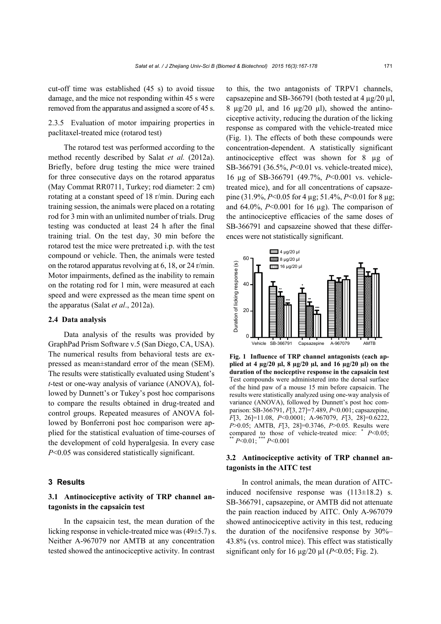cut-off time was established (45 s) to avoid tissue damage, and the mice not responding within 45 s were removed from the apparatus and assigned a score of 45 s.

2.3.5 Evaluation of motor impairing properties in paclitaxel-treated mice (rotarod test)

The rotarod test was performed according to the method recently described by Salat *et al.* (2012a). Briefly, before drug testing the mice were trained for three consecutive days on the rotarod apparatus (May Commat RR0711, Turkey; rod diameter: 2 cm) rotating at a constant speed of 18 r/min. During each training session, the animals were placed on a rotating rod for 3 min with an unlimited number of trials. Drug testing was conducted at least 24 h after the final training trial. On the test day, 30 min before the rotarod test the mice were pretreated i.p. with the test compound or vehicle. Then, the animals were tested on the rotarod apparatus revolving at 6, 18, or 24 r/min. Motor impairments, defined as the inability to remain on the rotating rod for 1 min, were measured at each speed and were expressed as the mean time spent on the apparatus (Salat *et al*., 2012a).

#### **2.4 Data analysis**

Data analysis of the results was provided by GraphPad Prism Software v.5 (San Diego, CA, USA). The numerical results from behavioral tests are expressed as mean±standard error of the mean (SEM). The results were statistically evaluated using Student's *t*-test or one-way analysis of variance (ANOVA), followed by Dunnett's or Tukey's post hoc comparisons to compare the results obtained in drug-treated and control groups. Repeated measures of ANOVA followed by Bonferroni post hoc comparison were applied for the statistical evaluation of time-courses of the development of cold hyperalgesia. In every case *P*<0.05 was considered statistically significant.

#### **3 Results**

# **3.1 Antinociceptive activity of TRP channel antagonists in the capsaicin test**

In the capsaicin test, the mean duration of the licking response in vehicle-treated mice was (49±5.7) s. Neither A-967079 nor AMTB at any concentration tested showed the antinociceptive activity. In contrast

to this, the two antagonists of TRPV1 channels, capsazepine and SB-366791 (both tested at 4  $\mu$ g/20  $\mu$ l, 8  $\mu$ g/20  $\mu$ l, and 16  $\mu$ g/20  $\mu$ l), showed the antinociceptive activity, reducing the duration of the licking response as compared with the vehicle-treated mice (Fig. 1). The effects of both these compounds were concentration-dependent. A statistically significant antinociceptive effect was shown for 8 µg of SB-366791 (36.5%, *P*<0.01 vs. vehicle-treated mice), 16 µg of SB-366791 (49.7%, *P*<0.001 vs. vehicletreated mice), and for all concentrations of capsazepine (31.9%, *P*<0.05 for 4 µg; 51.4%, *P*<0.01 for 8 µg; and  $64.0\%$ ,  $P<0.001$  for 16  $\mu$ g). The comparison of the antinociceptive efficacies of the same doses of SB-366791 and capsazeine showed that these differences were not statistically significant.



**Fig. 1 Influence of TRP channel antagonists (each applied at 4 µg/20 µl, 8 µg/20 µl, and 16 µg/20 µl) on the duration of the nociceptive response in the capsaicin test** Test compounds were administered into the dorsal surface of the hind paw of a mouse 15 min before capsaicin. The results were statistically analyzed using one-way analysis of variance (ANOVA), followed by Dunnett's post hoc comparison: SB-366791, *F*[3, 27]=7.489, *P*<0.001; capsazepine, *F*[3, 26]=11.08, *P*<0.0001; A-967079, *F*[3, 28]=0.6222, *P*>0.05; AMTB, *F*[3, 28]=0.3746, *P*>0.05. Results were compared to those of vehicle-treated mice:  $*$  *P*<0.05;

# **3.2 Antinociceptive activity of TRP channel antagonists in the AITC test**

In control animals, the mean duration of AITCinduced nocifensive response was  $(113\pm18.2)$  s. SB-366791, capsazepine, or AMTB did not attenuate the pain reaction induced by AITC. Only A-967079 showed antinociceptive activity in this test, reducing the duration of the nocifensive response by 30%– 43.8% (vs. control mice). This effect was statistically significant only for  $16 \mu g/20 \mu l$  ( $P < 0.05$ ; Fig. 2).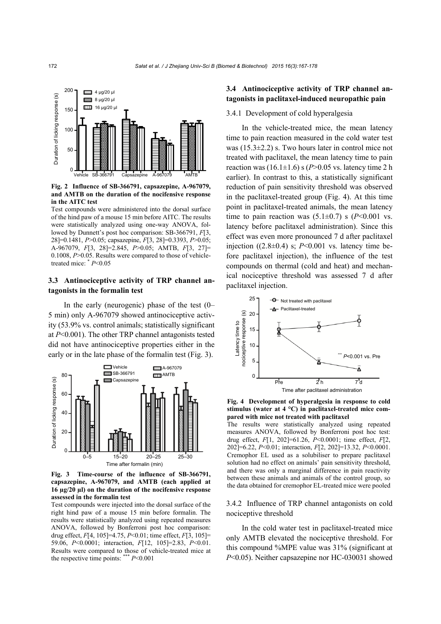

**Fig. 2 Influence of SB-366791, capsazepine, A-967079, and AMTB on the duration of the nocifensive response in the AITC test** 

Test compounds were administered into the dorsal surface of the hind paw of a mouse 15 min before AITC. The results were statistically analyzed using one-way ANOVA, followed by Dunnett's post hoc comparison: SB-366791, *F*[3, 28]=0.1481, *P*>0.05; capsazepine, *F*[3, 28]=0.3393, *P*>0.05; A-967079, *F*[3, 28]=2.845, *P*>0.05; AMTB, *F*[3, 27]= 0.1008, *P*>0.05. Results were compared to those of vehicle-

# **3.3 Antinociceptive activity of TRP channel antagonists in the formalin test**

In the early (neurogenic) phase of the test (0– 5 min) only A-967079 showed antinociceptive activity (53.9% vs. control animals; statistically significant at *P*<0.001). The other TRP channel antagonists tested did not have antinociceptive properties either in the early or in the late phase of the formalin test (Fig. 3).



**Fig. 3 Time-course of the influence of SB-366791, capsazepine, A-967079, and AMTB (each applied at 16 µg/20 µl) on the duration of the nocifensive response assessed in the formalin test** 

Test compounds were injected into the dorsal surface of the right hind paw of a mouse 15 min before formalin. The results were statistically analyzed using repeated measures ANOVA, followed by Bonferroni post hoc comparison: drug effect, *F*[4, 105]=4.75, *P*<0.01; time effect, *F*[3, 105]= 59.06, *P*<0.0001; interaction, *F*[12, 105]=2.83, *P*<0.01. Results were compared to those of vehicle-treated mice at

# **3.4 Antinociceptive activity of TRP channel antagonists in paclitaxel-induced neuropathic pain**

#### 3.4.1 Development of cold hyperalgesia

In the vehicle-treated mice, the mean latency time to pain reaction measured in the cold water test was (15.3±2.2) s. Two hours later in control mice not treated with paclitaxel, the mean latency time to pain reaction was  $(16.1\pm1.6)$  s  $(P>0.05$  vs. latency time 2 h earlier). In contrast to this, a statistically significant reduction of pain sensitivity threshold was observed in the paclitaxel-treated group (Fig. 4). At this time point in paclitaxel-treated animals, the mean latency time to pain reaction was  $(5.1\pm0.7)$  s  $(P<0.001$  vs. latency before paclitaxel administration). Since this effect was even more pronounced 7 d after paclitaxel injection  $((2.8\pm0.4)$  s;  $P<0.001$  vs. latency time before paclitaxel injection), the influence of the test compounds on thermal (cold and heat) and mechanical nociceptive threshold was assessed 7 d after paclitaxel injection.



**Fig. 4 Development of hyperalgesia in response to cold stimulus (water at 4 °C) in paclitaxel-treated mice compared with mice not treated with paclitaxel** 

The results were statistically analyzed using repeated measures ANOVA, followed by Bonferroni post hoc test: drug effect, *F*[1, 202]=61.26, *P*<0.0001; time effect, *F*[2, 202]=6.22, *P*<0.01; interaction, *F*[2, 202]=13.32, *P*<0.0001. Cremophor EL used as a solubiliser to prepare paclitaxel solution had no effect on animals' pain sensitivity threshold, and there was only a marginal difference in pain reactivity between these animals and animals of the control group, so the data obtained for cremophor EL-treated mice were pooled

3.4.2 Influence of TRP channel antagonists on cold nociceptive threshold

In the cold water test in paclitaxel-treated mice only AMTB elevated the nociceptive threshold. For this compound %MPE value was 31% (significant at *P*<0.05). Neither capsazepine nor HC-030031 showed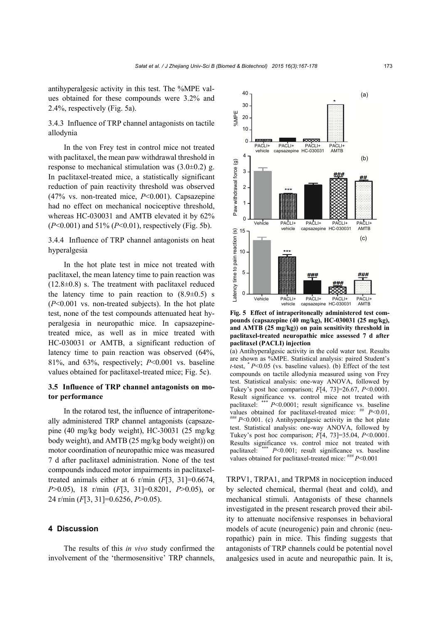antihyperalgesic activity in this test. The %MPE values obtained for these compounds were 3.2% and 2.4%, respectively (Fig. 5a).

3.4.3 Influence of TRP channel antagonists on tactile allodynia

In the von Frey test in control mice not treated with paclitaxel, the mean paw withdrawal threshold in response to mechanical stimulation was  $(3.0\pm0.2)$  g. In paclitaxel-treated mice, a statistically significant reduction of pain reactivity threshold was observed (47% vs. non-treated mice, *P*<0.001). Capsazepine had no effect on mechanical nociceptive threshold, whereas HC-030031 and AMTB elevated it by 62% (*P*<0.001) and 51% (*P*<0.01), respectively (Fig. 5b).

3.4.4 Influence of TRP channel antagonists on heat hyperalgesia

In the hot plate test in mice not treated with paclitaxel, the mean latency time to pain reaction was  $(12.8\pm0.8)$  s. The treatment with paclitaxel reduced the latency time to pain reaction to  $(8.9\pm0.5)$  s (*P*<0.001 vs. non-treated subjects). In the hot plate test, none of the test compounds attenuated heat hyperalgesia in neuropathic mice. In capsazepinetreated mice, as well as in mice treated with HC-030031 or AMTB, a significant reduction of latency time to pain reaction was observed (64%, 81%, and 63%, respectively; *P*<0.001 vs. baseline values obtained for paclitaxel-treated mice; Fig. 5c).

# **3.5 Influence of TRP channel antagonists on motor performance**

In the rotarod test, the influence of intraperitoneally administered TRP channel antagonists (capsazepine (40 mg/kg body weight), HC-30031 (25 mg/kg body weight), and AMTB (25 mg/kg body weight)) on motor coordination of neuropathic mice was measured 7 d after paclitaxel administration. None of the test compounds induced motor impairments in paclitaxeltreated animals either at 6 r/min (*F*[3, 31]=0.6674, *P*>0.05), 18 r/min (*F*[3, 31]=0.8201, *P*>0.05), or 24 r/min (*F*[3, 31]=0.6256, *P*>0.05).

# **4 Discussion**

The results of this *in vivo* study confirmed the involvement of the 'thermosensitive' TRP channels,



**Fig. 5 Effect of intraperitoneally administered test compounds (capsazepine (40 mg/kg), HC-030031 (25 mg/kg), and AMTB (25 mg/kg)) on pain sensitivity threshold in paclitaxel-treated neuropathic mice assessed 7 d after paclitaxel (PACLI) injection** 

(a) Antihyperalgesic activity in the cold water test. Results are shown as %MPE. Statistical analysis: paired Student's *t*-test,  $* P<0.05$  (vs. baseline values). (b) Effect of the test compounds on tactile allodynia measured using von Frey test. Statistical analysis: one-way ANOVA, followed by Tukey's post hoc comparison; *F*[4, 73]=26.67, *P*<0.0001. Result significance vs. control mice not treated with paclitaxel: \*\*\* *P*<0.0001; result significance vs. baseline values obtained for paclitaxel-treated mice:  $H P < 0.01$ ,  $H H P < 0.001$ . (c) Antihyperalgesic activity in the hot plate test. Statistical analysis: one-way ANOVA, followed by Tukey's post hoc comparison; *F*[4, 73]=35.04, *P*<0.0001. Results significance vs. control mice not treated with paclitaxel: \*\*\*  $P<0.001$ ; result significance vs. baseline values obtained for paclitaxel-treated mice: \*\*\*  $P<0.001$ 

TRPV1, TRPA1, and TRPM8 in nociception induced by selected chemical, thermal (heat and cold), and mechanical stimuli. Antagonists of these channels investigated in the present research proved their ability to attenuate nocifensive responses in behavioral models of acute (neurogenic) pain and chronic (neuropathic) pain in mice. This finding suggests that antagonists of TRP channels could be potential novel analgesics used in acute and neuropathic pain. It is,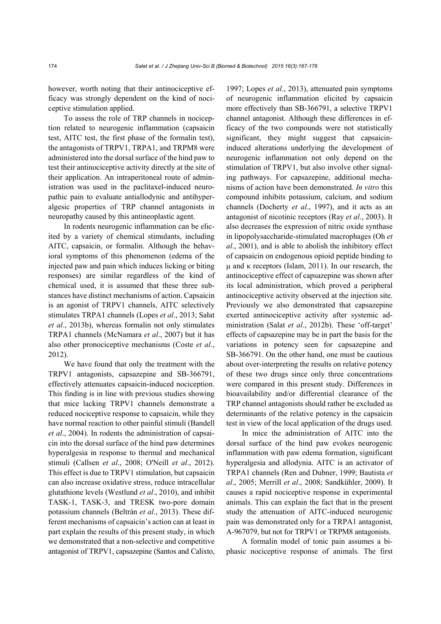however, worth noting that their antinociceptive efficacy was strongly dependent on the kind of nociceptive stimulation applied.

To assess the role of TRP channels in nociception related to neurogenic inflammation (capsaicin test, AITC test, the first phase of the formalin test), the antagonists of TRPV1, TRPA1, and TRPM8 were administered into the dorsal surface of the hind paw to test their antinociceptive activity directly at the site of their application. An intraperitoneal route of administration was used in the paclitaxel-induced neuropathic pain to evaluate antiallodynic and antihyperalgesic properties of TRP channel antagonists in neuropathy caused by this antineoplastic agent.

In rodents neurogenic inflammation can be elicited by a variety of chemical stimulants, including AITC, capsaicin, or formalin. Although the behavioral symptoms of this phenomenon (edema of the injected paw and pain which induces licking or biting responses) are similar regardless of the kind of chemical used, it is assumed that these three substances have distinct mechanisms of action. Capsaicin is an agonist of TRPV1 channels, AITC selectively stimulates TRPA1 channels (Lopes *et al*., 2013; Sałat *et al*., 2013b), whereas formalin not only stimulates TRPA1 channels (McNamara *et al*., 2007) but it has also other pronociceptive mechanisms (Coste *et al*., 2012).

We have found that only the treatment with the TRPV1 antagonists, capsazepine and SB-366791, effectively attenuates capsaicin-induced nociception. This finding is in line with previous studies showing that mice lacking TRPV1 channels demonstrate a reduced nociceptive response to capsaicin, while they have normal reaction to other painful stimuli (Bandell *et al*., 2004). In rodents the administration of capsaicin into the dorsal surface of the hind paw determines hyperalgesia in response to thermal and mechanical stimuli (Callsen *et al*., 2008; O'Neill *et al*., 2012). This effect is due to TRPV1 stimulation, but capsaicin can also increase oxidative stress, reduce intracellular glutathione levels (Westlund *et al*., 2010), and inhibit TASK-1, TASK-3, and TRESK two-pore domain potassium channels (Beltrán *et al*., 2013). These different mechanisms of capsaicin's action can at least in part explain the results of this present study, in which we demonstrated that a non-selective and competitive antagonist of TRPV1, capsazepine (Santos and Calixto, 1997; Lopes *et al*., 2013), attenuated pain symptoms of neurogenic inflammation elicited by capsaicin more effectively than SB-366791, a selective TRPV1 channel antagonist. Although these differences in efficacy of the two compounds were not statistically significant, they might suggest that capsaicininduced alterations underlying the development of neurogenic inflammation not only depend on the stimulation of TRPV1, but also involve other signaling pathways. For capsazepine, additional mechanisms of action have been demonstrated. *In vitro* this compound inhibits potassium, calcium, and sodium channels (Docherty *et al*., 1997), and it acts as an antagonist of nicotinic receptors (Ray *et al*., 2003). It also decreases the expression of nitric oxide synthase in lipopolysaccharide-stimulated macrophages (Oh *et al*., 2001), and is able to abolish the inhibitory effect of capsaicin on endogenous opioid peptide binding to μ and κ receptors (Islam, 2011). In our research, the antinociceptive effect of capsazepine was shown after its local administration, which proved a peripheral antinociceptive activity observed at the injection site. Previously we also demonstrated that capsazepine exerted antinociceptive activity after systemic administration (Salat *et al*., 2012b). These 'off-target' effects of capsazepine may be in part the basis for the variations in potency seen for capsazepine and SB-366791. On the other hand, one must be cautious about over-interpreting the results on relative potency of these two drugs since only three concentrations were compared in this present study. Differences in bioavailability and/or differential clearance of the TRP channel antagonists should rather be excluded as determinants of the relative potency in the capsaicin test in view of the local application of the drugs used.

In mice the administration of AITC into the dorsal surface of the hind paw evokes neurogenic inflammation with paw edema formation, significant hyperalgesia and allodynia. AITC is an activator of TRPA1 channels (Ren and Dubner, 1999; Bautista *et al*., 2005; Merrill *et al*., 2008; Sandkühler, 2009). It causes a rapid nociceptive response in experimental animals. This can explain the fact that in the present study the attenuation of AITC-induced neurogenic pain was demonstrated only for a TRPA1 antagonist, A-967079, but not for TRPV1 or TRPM8 antagonists.

A formalin model of tonic pain assumes a biphasic nociceptive response of animals. The first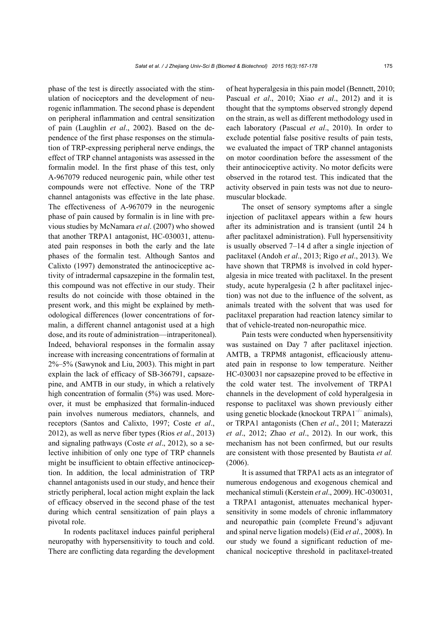phase of the test is directly associated with the stimulation of nociceptors and the development of neurogenic inflammation. The second phase is dependent on peripheral inflammation and central sensitization of pain (Laughlin *et al*., 2002). Based on the dependence of the first phase responses on the stimulation of TRP-expressing peripheral nerve endings, the effect of TRP channel antagonists was assessed in the formalin model. In the first phase of this test, only A-967079 reduced neurogenic pain, while other test compounds were not effective. None of the TRP channel antagonists was effective in the late phase. The effectiveness of A-967079 in the neurogenic phase of pain caused by formalin is in line with previous studies by McNamara *et al*. (2007) who showed that another TRPA1 antagonist, HC-030031, attenuated pain responses in both the early and the late phases of the formalin test. Although Santos and Calixto (1997) demonstrated the antinociceptive activity of intradermal capsazepine in the formalin test, this compound was not effective in our study. Their results do not coincide with those obtained in the present work, and this might be explained by methodological differences (lower concentrations of formalin, a different channel antagonist used at a high dose, and its route of administration—intraperitoneal). Indeed, behavioral responses in the formalin assay increase with increasing concentrations of formalin at 2%‒5% (Sawynok and Liu, 2003). This might in part explain the lack of efficacy of SB-366791, capsazepine, and AMTB in our study, in which a relatively high concentration of formalin (5%) was used. Moreover, it must be emphasized that formalin-induced pain involves numerous mediators, channels, and receptors (Santos and Calixto, 1997; Coste *et al*., 2012), as well as nerve fiber types (Rios *et al*., 2013) and signaling pathways (Coste *et al*., 2012), so a selective inhibition of only one type of TRP channels might be insufficient to obtain effective antinociception. In addition, the local administration of TRP channel antagonists used in our study, and hence their strictly peripheral, local action might explain the lack of efficacy observed in the second phase of the test during which central sensitization of pain plays a pivotal role.

In rodents paclitaxel induces painful peripheral neuropathy with hypersensitivity to touch and cold. There are conflicting data regarding the development of heat hyperalgesia in this pain model (Bennett, 2010; Pascual *et al*., 2010; Xiao *et al*., 2012) and it is thought that the symptoms observed strongly depend on the strain, as well as different methodology used in each laboratory (Pascual *et al*., 2010). In order to exclude potential false positive results of pain tests, we evaluated the impact of TRP channel antagonists on motor coordination before the assessment of the their antinociceptive activity. No motor deficits were observed in the rotarod test. This indicated that the activity observed in pain tests was not due to neuromuscular blockade.

The onset of sensory symptoms after a single injection of paclitaxel appears within a few hours after its administration and is transient (until 24 h after paclitaxel administration). Full hypersensitivity is usually observed 7–14 d after a single injection of paclitaxel (Andoh *et al*., 2013; Rigo *et al*., 2013). We have shown that TRPM8 is involved in cold hyperalgesia in mice treated with paclitaxel. In the present study, acute hyperalgesia (2 h after paclitaxel injection) was not due to the influence of the solvent, as animals treated with the solvent that was used for paclitaxel preparation had reaction latency similar to that of vehicle-treated non-neuropathic mice.

Pain tests were conducted when hypersensitivity was sustained on Day 7 after paclitaxel injection. AMTB, a TRPM8 antagonist, efficaciously attenuated pain in response to low temperature. Neither HC-030031 nor capsazepine proved to be effective in the cold water test. The involvement of TRPA1 channels in the development of cold hyperalgesia in response to paclitaxel was shown previously either using genetic blockade (knockout  $TRPA1^{-/-}$  animals), or TRPA1 antagonists (Chen *et al*., 2011; Materazzi *et al*., 2012; Zhao *et al*., 2012). In our work, this mechanism has not been confirmed, but our results are consistent with those presented by Bautista *et al.* (2006).

It is assumed that TRPA1 acts as an integrator of numerous endogenous and exogenous chemical and mechanical stimuli (Kerstein *et al*., 2009). HC-030031, a TRPA1 antagonist, attenuates mechanical hypersensitivity in some models of chronic inflammatory and neuropathic pain (complete Freund's adjuvant and spinal nerve ligation models) (Eid *et al*., 2008). In our study we found a significant reduction of mechanical nociceptive threshold in paclitaxel-treated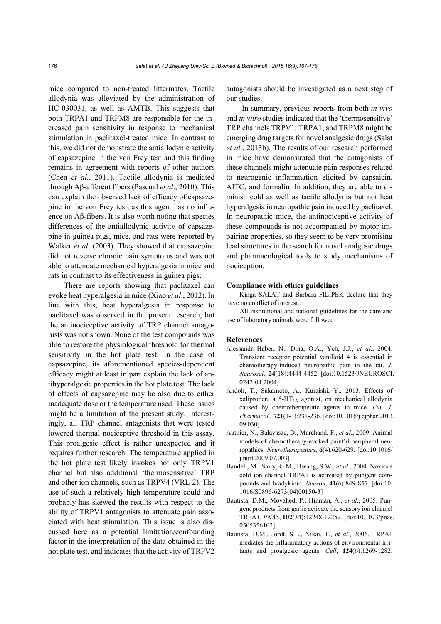mice compared to non-treated littermates. Tactile allodynia was alleviated by the administration of HC-030031, as well as AMTB. This suggests that both TRPA1 and TRPM8 are responsible for the increased pain sensitivity in response to mechanical stimulation in paclitaxel-treated mice. In contrast to this, we did not demonstrate the antiallodynic activity of capsazepine in the von Frey test and this finding remains in agreement with reports of other authors (Chen *et al*., 2011). Tactile allodynia is mediated through Aβ-afferent fibers (Pascual *et al*., 2010). This can explain the observed lack of efficacy of capsazepine in the von Frey test, as this agent has no influence on Aβ-fibers. It is also worth noting that species differences of the antiallodynic activity of capsazepine in guinea pigs, mice, and rats were reported by Walker *et al*. (2003). They showed that capsazepine did not reverse chronic pain symptoms and was not able to attenuate mechanical hyperalgesia in mice and rats in contrast to its effectiveness in guinea pigs.

There are reports showing that paclitaxel can evoke heat hyperalgesia in mice (Xiao *et al*., 2012). In line with this, heat hyperalgesia in response to paclitaxel was observed in the present research, but the antinociceptive activity of TRP channel antagonists was not shown. None of the test compounds was able to restore the physiological threshold for thermal sensitivity in the hot plate test. In the case of capsazepine, its aforementioned species-dependent efficacy might at least in part explain the lack of antihyperalgesic properties in the hot plate test. The lack of effects of capsazepine may be also due to either inadequate dose or the temperature used. These issues might be a limitation of the present study. Interestingly, all TRP channel antagonists that were tested lowered thermal nociceptive threshold in this assay. This proalgesic effect is rather unexpected and it requires further research. The temperature applied in the hot plate test likely invokes not only TRPV1 channel but also additional 'thermosensitive' TRP and other ion channels, such as TRPV4 (VRL-2). The use of such a relatively high temperature could and probably has skewed the results with respect to the ability of TRPV1 antagonists to attenuate pain associated with heat stimulation. This issue is also discussed here as a potential limitation/confounding factor in the interpretation of the data obtained in the hot plate test, and indicates that the activity of TRPV2 antagonists should be investigated as a next step of our studies.

In summary, previous reports from both *in vivo* and *in vitro* studies indicated that the 'thermosensitive' TRP channels TRPV1, TRPA1, and TRPM8 might be emerging drug targets for novel analgesic drugs (Sałat *et al*., 2013b). The results of our research performed in mice have demonstrated that the antagonists of these channels might attenuate pain responses related to neurogenic inflammation elicited by capsaicin, AITC, and formalin. In addition, they are able to diminish cold as well as tactile allodynia but not heat hyperalgesia in neuropathic pain induced by paclitaxel. In neuropathic mice, the antinociceptive activity of these compounds is not accompanied by motor impairing properties, so they seem to be very promising lead structures in the search for novel analgesic drugs and pharmacological tools to study mechanisms of nociception.

#### **Compliance with ethics guidelines**

Kinga SAŁAT and Barbara FILIPEK declare that they have no conflict of interest.

All institutional and national guidelines for the care and use of laboratory animals were followed.

#### **References**

- Alessandri-Haber, N., Dina, O.A., Yeh, J.J., *et al*., 2004. Transient receptor potential vanilloid 4 is essential in chemotherapy-induced neuropathic pain in the rat. *J. Neurosci*., **24**(18):4444-4452. [doi:10.1523/JNEUROSCI. 0242-04.2004]
- Andoh, T., Sakamoto, A., Kuraishi, Y., 2013. Effects of xaliproden, a  $5-HT<sub>1A</sub>$  agonist, on mechanical allodynia caused by chemotherapeutic agents in mice. *Eur. J. Pharmacol*., **721**(1-3):231-236. [doi:10.1016/j.ejphar.2013. 09.030]
- Authier, N., Balayssac, D., Marchand, F., *et al*., 2009. Animal models of chemotherapy-evoked painful peripheral neuropathies. *Neurotherapeutics*, **6**(4):620-629. [doi:10.1016/ j.nurt.2009.07.003]
- Bandell, M., Story, G.M., Hwang, S.W., *et al*., 2004. Noxious cold ion channel TRPA1 is activated by pungent compounds and bradykinin. *Neuron*, **41**(6):849-857. [doi:10. 1016/S0896-6273(04)00150-3]
- Bautista, D.M., Movahed, P., Hinman, A., *et al*., 2005. Pungent products from garlic activate the sensory ion channel TRPA1. *PNAS*, **102**(34):12248-12252. [doi:10.1073/pnas. 0505356102]
- Bautista, D.M., Jordt, S.E., Nikai, T., *et al*., 2006. TRPA1 mediates the inflammatory actions of environmental irritants and proalgesic agents. *Cell*, **124**(6):1269-1282.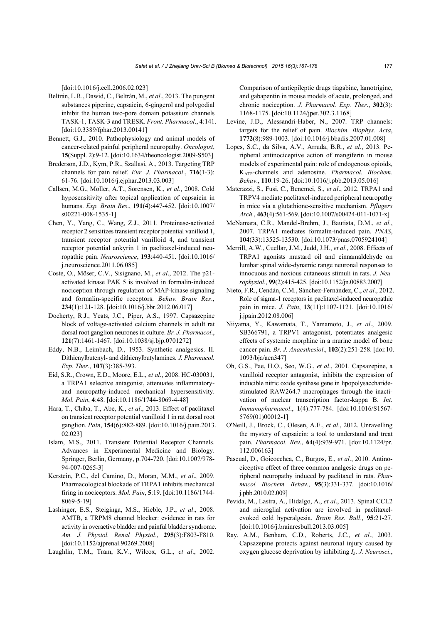[doi:10.1016/j.cell.2006.02.023]

- Beltrán, L.R., Dawid, C., Beltrán, M., *et al*., 2013. The pungent substances piperine, capsaicin, 6-gingerol and polygodial inhibit the human two-pore domain potassium channels TASK-1, TASK-3 and TRESK. *Front. Pharmacol*., **4**:141. [doi:10.3389/fphar.2013.00141]
- Bennett, G.J., 2010. Pathophysiology and animal models of cancer-related painful peripheral neuropathy. *Oncologist*, **15**(Suppl. 2):9-12. [doi:10.1634/theoncologist.2009-S503]
- Brederson, J.D., Kym, P.R., Szallasi, A., 2013. Targeting TRP channels for pain relief. *Eur. J. Pharmacol*., **716**(1-3): 61-76. [doi:10.1016/j.ejphar.2013.03.003]
- Callsen, M.G., Moller, A.T., Sorensen, K., *et al*., 2008. Cold hyposensitivity after topical application of capsaicin in humans. *Exp. Brain Res*., **191**(4):447-452. [doi:10.1007/ s00221-008-1535-1]
- Chen, Y., Yang, C., Wang, Z.J., 2011. Proteinase-activated receptor 2 sensitizes transient receptor potential vanilloid 1, transient receptor potential vanilloid 4, and transient receptor potential ankyrin 1 in paclitaxel-induced neuropathic pain. *Neuroscience*, **193**:440-451. [doi:10.1016/ j.neuroscience.2011.06.085]
- Coste, O., Möser, C.V., Sisignano, M., *et al*., 2012. The p21 activated kinase PAK 5 is involved in formalin-induced nociception through regulation of MAP-kinase signaling and formalin-specific receptors. *Behav. Brain Res*., **234**(1):121-128. [doi:10.1016/j.bbr.2012.06.017]
- Docherty, R.J., Yeats, J.C., Piper, A.S., 1997. Capsazepine block of voltage-activated calcium channels in adult rat dorsal root ganglion neurones in culture. *Br. J. Pharmacol*., **121**(7):1461-1467. [doi:10.1038/sj.bjp.0701272]
- Eddy, N.B., Leimbach, D., 1953. Synthetic analgesics. II. Dithienylbutenyl- and dithienylbutylamines. *J. Pharmacol. Exp. Ther*., **107**(3):385-393.
- Eid, S.R., Crown, E.D., Moore, E.L., *et al*., 2008. HC-030031, a TRPA1 selective antagonist, attenuates inflammatoryand neuropathy-induced mechanical hypersensitivity. *Mol. Pain*, **4**:48. [doi:10.1186/1744-8069-4-48]
- Hara, T., Chiba, T., Abe, K., *et al*., 2013. Effect of paclitaxel on transient receptor potential vanilloid 1 in rat dorsal root ganglion. *Pain*, **154**(6):882-889. [doi:10.1016/j.pain.2013. 02.023]
- Islam, M.S., 2011. Transient Potential Receptor Channels. Advances in Experimental Medicine and Biology. Springer, Berlin, Germany, p.704-720. [doi:10.1007/978- 94-007-0265-3]
- Kerstein, P.C., del Camino, D., Moran, M.M., *et al*., 2009. Pharmacological blockade of TRPA1 inhibits mechanical firing in nociceptors. *Mol. Pain*, **5**:19. [doi:10.1186/1744- 8069-5-19]
- Lashinger, E.S., Steiginga, M.S., Hieble, J.P., *et al*., 2008. AMTB, a TRPM8 channel blocker: evidence in rats for activity in overactive bladder and painful bladder syndrome. *Am. J. Physiol. Renal Physiol*., **295**(3):F803-F810. [doi:10.1152/ajprenal.90269.2008]
- Laughlin, T.M., Tram, K.V., Wilcox, G.L., *et al*., 2002.

Comparison of antiepileptic drugs tiagabine, lamotrigine, and gabapentin in mouse models of acute, prolonged, and chronic nociception. *J. Pharmacol. Exp. Ther*., **302**(3): 1168-1175. [doi:10.1124/jpet.302.3.1168]

- Levine, J.D., Alessandri-Haber, N., 2007. TRP channels: targets for the relief of pain. *Biochim. Biophys. Acta*, **1772**(8):989-1003. [doi:10.1016/j.bbadis.2007.01.008]
- Lopes, S.C., da Silva, A.V., Arruda, B.R., *et al*., 2013. Peripheral antinociceptive action of mangiferin in mouse models of experimental pain: role of endogenous opioids, KATP-channels and adenosine. *Pharmacol. Biochem. Behav*., **110**:19-26. [doi:10.1016/j.pbb.2013.05.016]
- Materazzi, S., Fusi, C., Benemei, S., *et al*., 2012. TRPA1 and TRPV4 mediate paclitaxel-induced peripheral neuropathy in mice via a glutathione-sensitive mechanism. *Pflugers Arch*., **463**(4):561-569. [doi:10.1007/s00424-011-1071-x]
- McNamara, C.R., Mandel-Brehm, J., Bautista, D.M., *et al*., 2007. TRPA1 mediates formalin-induced pain. *PNAS*, **104**(33):13525-13530. [doi:10.1073/pnas.0705924104]
- Merrill, A.W., Cuellar, J.M., Judd, J.H., *et al*., 2008. Effects of TRPA1 agonists mustard oil and cinnamaldehyde on lumbar spinal wide-dynamic range neuronal responses to innocuous and noxious cutaneous stimuli in rats. *J. Neurophysiol*., **99**(2):415-425. [doi:10.1152/jn.00883.2007]
- Nieto, F.R., Cendán, C.M., Sánchez-Fernández, C., *et al*., 2012. Role of sigma-1 receptors in paclitaxel-induced neuropathic pain in mice. *J. Pain*, **13**(11):1107-1121. [doi:10.1016/ j.jpain.2012.08.006]
- Niiyama, Y., Kawamata, T., Yamamoto, J., *et al*., 2009. SB366791, a TRPV1 antagonist, potentiates analgesic effects of systemic morphine in a murine model of bone cancer pain. *Br. J. Anaesthesiol*., **102**(2):251-258. [doi:10. 1093/bja/aen347]
- Oh, G.S., Pae, H.O., Seo, W.G., *et al*., 2001. Capsazepine, a vanilloid receptor antagonist, inhibits the expression of inducible nitric oxide synthase gene in lipopolysaccharidestimulated RAW264.7 macrophages through the inactivation of nuclear transcription factor-kappa B. *Int. Immunopharmacol*., **1**(4):777-784. [doi:10.1016/S1567- 5769(01)00012-1]
- O'Neill, J., Brock, C., Olesen, A.E., *et al*., 2012. Unravelling the mystery of capsaicin: a tool to understand and treat pain. *Pharmacol. Rev*., **64**(4):939-971. [doi:10.1124/pr. 112.006163]
- Pascual, D., Goicoechea, C., Burgos, E., *et al*., 2010. Antinociceptive effect of three common analgesic drugs on peripheral neuropathy induced by paclitaxel in rats. *Pharmacol. Biochem. Behav*., **95**(3):331-337. [doi:10.1016/ j.pbb.2010.02.009]
- Pevida, M., Lastra, A., Hidalgo, A., *et al*., 2013. Spinal CCL2 and microglial activation are involved in paclitaxelevoked cold hyperalgesia. *Brain Res. Bull*., **95**:21-27. [doi:10.1016/j.brainresbull.2013.03.005]
- Ray, A.M., Benham, C.D., Roberts, J.C., *et al*., 2003. Capsazepine protects against neuronal injury caused by oxygen glucose deprivation by inhibiting *Ih*. *J. Neurosci*.,